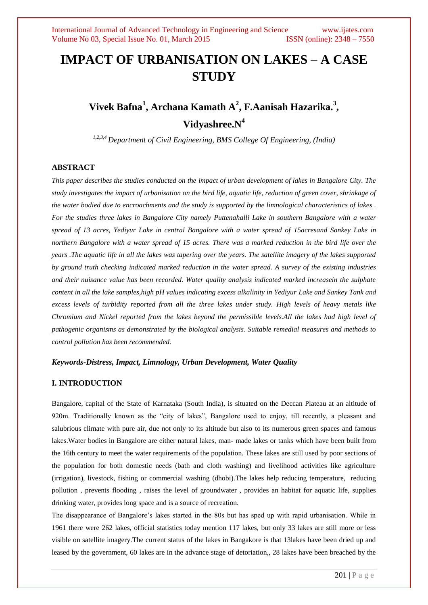# **IMPACT OF URBANISATION ON LAKES – A CASE STUDY**

# **Vivek Bafna<sup>1</sup> , Archana Kamath A<sup>2</sup> , F.Aanisah Hazarika.<sup>3</sup> , Vidyashree.N<sup>4</sup>**

*1,2,3,4 Department of Civil Engineering, BMS College Of Engineering, (India)*

# **ABSTRACT**

*This paper describes the studies conducted on the impact of urban development of lakes in Bangalore City. The study investigates the impact of urbanisation on the bird life, aquatic life, reduction of green cover, shrinkage of the water bodied due to encroachments and the study is supported by the limnological characteristics of lakes . For the studies three lakes in Bangalore City namely Puttenahalli Lake in southern Bangalore with a water spread of 13 acres, Yediyur Lake in central Bangalore with a water spread of 15acresand Sankey Lake in northern Bangalore with a water spread of 15 acres. There was a marked reduction in the bird life over the years .The aquatic life in all the lakes was tapering over the years. The satellite imagery of the lakes supported by ground truth checking indicated marked reduction in the water spread. A survey of the existing industries and their nuisance value has been recorded. Water quality analysis indicated marked increasein the sulphate content in all the lake samples,high pH values indicating excess alkalinity in Yediyur Lake and Sankey Tank and excess levels of turbidity reported from all the three lakes under study. High levels of heavy metals like Chromium and Nickel reported from the lakes beyond the permissible levels.All the lakes had high level of pathogenic organisms as demonstrated by the biological analysis. Suitable remedial measures and methods to control pollution has been recommended.* 

## *Keywords-Distress, Impact, Limnology, Urban Development, Water Quality*

## **I. INTRODUCTION**

Bangalore, capital of the State of Karnataka (South India), is situated on the Deccan Plateau at an altitude of 920m. Traditionally known as the "city of lakes", Bangalore used to enjoy, till recently, a pleasant and salubrious climate with pure air, due not only to its altitude but also to its numerous green spaces and famous lakes.Water bodies in Bangalore are either natural lakes, man- made lakes or tanks which have been built from the 16th century to meet the water requirements of the population. These lakes are still used by poor sections of the population for both domestic needs (bath and cloth washing) and livelihood activities like agriculture (irrigation), livestock, fishing or commercial washing (dhobi).The lakes help reducing temperature, reducing pollution , prevents flooding , raises the level of groundwater , provides an habitat for aquatic life, supplies drinking water, provides long space and is a source of recreation.

The disappearance of Bangalore's lakes started in the 80s but has sped up with rapid urbanisation. While in 1961 there were 262 lakes, official statistics today mention 117 lakes, but only 33 lakes are still more or less visible on satellite imagery.The current status of the lakes in Bangakore is that 13lakes have been dried up and leased by the government, 60 lakes are in the advance stage of detoriation,, 28 lakes have been breached by the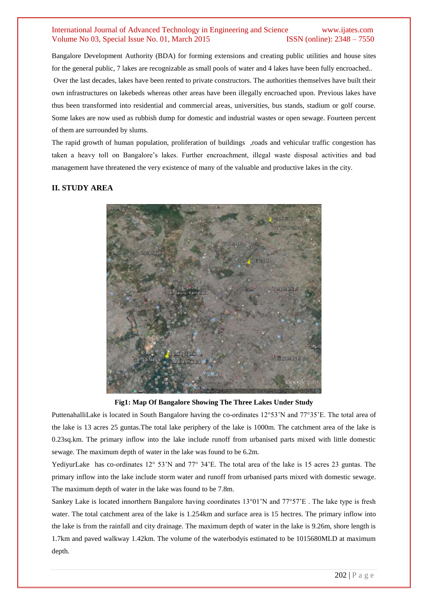Bangalore Development Authority (BDA) for forming extensions and creating public utilities and house sites for the general public, 7 lakes are recognizable as small pools of water and 4 lakes have been fully encroached.. Over the last decades, lakes have been rented to private constructors. The authorities themselves have built their own infrastructures on lakebeds whereas other areas have been illegally encroached upon. Previous lakes have thus been transformed into residential and commercial areas, universities, bus stands, stadium or golf course. Some lakes are now used as rubbish dump for domestic and industrial wastes or open sewage. Fourteen percent of them are surrounded by slums.

The rapid growth of human population, proliferation of buildings ,roads and vehicular traffic congestion has taken a heavy toll on Bangalore's lakes. Further encroachment, illegal waste disposal activities and bad management have threatened the very existence of many of the valuable and productive lakes in the city.

# **II. STUDY AREA**



**Fig1: Map Of Bangalore Showing The Three Lakes Under Study**

PuttenahalliLake is located in South Bangalore having the co-ordinates 12°53'N and 77°35'E. The total area of the lake is 13 acres 25 guntas.The total lake periphery of the lake is 1000m. The catchment area of the lake is 0.23sq.km. The primary inflow into the lake include runoff from urbanised parts mixed with little domestic sewage. The maximum depth of water in the lake was found to be 6.2m.

YediyurLake has co-ordinates 12° 53'N and 77° 34'E. The total area of the lake is 15 acres 23 guntas. The primary inflow into the lake include storm water and runoff from urbanised parts mixed with domestic sewage. The maximum depth of water in the lake was found to be 7.8m.

Sankey Lake is located innorthern Bangalore having coordinates 13°01'N and 77°57'E . The lake type is fresh water. The total catchment area of the lake is 1.254km and surface area is 15 hectres. The primary inflow into the lake is from the rainfall and city drainage. The maximum depth of water in the lake is 9.26m, shore length is 1.7km and paved walkway 1.42km. The volume of the waterbodyis estimated to be 1015680MLD at maximum depth.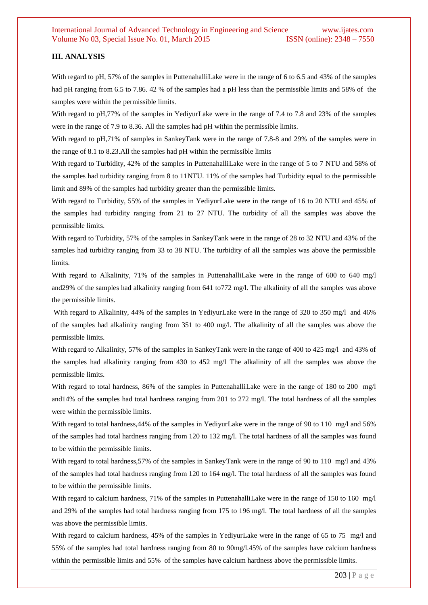#### **III. ANALYSIS**

With regard to pH, 57% of the samples in PuttenahalliLake were in the range of 6 to 6.5 and 43% of the samples had pH ranging from 6.5 to 7.86. 42 % of the samples had a pH less than the permissible limits and 58% of the samples were within the permissible limits.

With regard to pH,77% of the samples in YediyurLake were in the range of 7.4 to 7.8 and 23% of the samples were in the range of 7.9 to 8.36. All the samples had pH within the permissible limits.

With regard to pH,71% of samples in SankeyTank were in the range of 7.8-8 and 29% of the samples were in the range of 8.1 to 8.23.All the samples had pH within the permissible limits

With regard to Turbidity, 42% of the samples in PuttenahalliLake were in the range of 5 to 7 NTU and 58% of the samples had turbidity ranging from 8 to 11NTU. 11% of the samples had Turbidity equal to the permissible limit and 89% of the samples had turbidity greater than the permissible limits.

With regard to Turbidity, 55% of the samples in YediyurLake were in the range of 16 to 20 NTU and 45% of the samples had turbidity ranging from 21 to 27 NTU. The turbidity of all the samples was above the permissible limits.

With regard to Turbidity, 57% of the samples in SankeyTank were in the range of 28 to 32 NTU and 43% of the samples had turbidity ranging from 33 to 38 NTU. The turbidity of all the samples was above the permissible limits.

With regard to Alkalinity, 71% of the samples in PuttenahalliLake were in the range of 600 to 640 mg/l and29% of the samples had alkalinity ranging from 641 to772 mg/l. The alkalinity of all the samples was above the permissible limits.

With regard to Alkalinity, 44% of the samples in YediyurLake were in the range of 320 to 350 mg/l and 46% of the samples had alkalinity ranging from 351 to 400 mg/l. The alkalinity of all the samples was above the permissible limits.

With regard to Alkalinity, 57% of the samples in SankeyTank were in the range of 400 to 425 mg/l and 43% of the samples had alkalinity ranging from 430 to 452 mg/l The alkalinity of all the samples was above the permissible limits.

With regard to total hardness, 86% of the samples in PuttenahalliLake were in the range of 180 to 200 mg/l and14% of the samples had total hardness ranging from 201 to 272 mg/l. The total hardness of all the samples were within the permissible limits.

With regard to total hardness, 44% of the samples in YediyurLake were in the range of 90 to 110 mg/l and 56% of the samples had total hardness ranging from 120 to 132 mg/l. The total hardness of all the samples was found to be within the permissible limits.

With regard to total hardness, 57% of the samples in SankeyTank were in the range of 90 to 110 mg/l and 43% of the samples had total hardness ranging from 120 to 164 mg/l. The total hardness of all the samples was found to be within the permissible limits.

With regard to calcium hardness, 71% of the samples in PuttenahalliLake were in the range of 150 to 160 mg/l and 29% of the samples had total hardness ranging from 175 to 196 mg/l. The total hardness of all the samples was above the permissible limits.

With regard to calcium hardness, 45% of the samples in YediyurLake were in the range of 65 to 75 mg/l and 55% of the samples had total hardness ranging from 80 to 90mg/l.45% of the samples have calcium hardness within the permissible limits and 55% of the samples have calcium hardness above the permissible limits.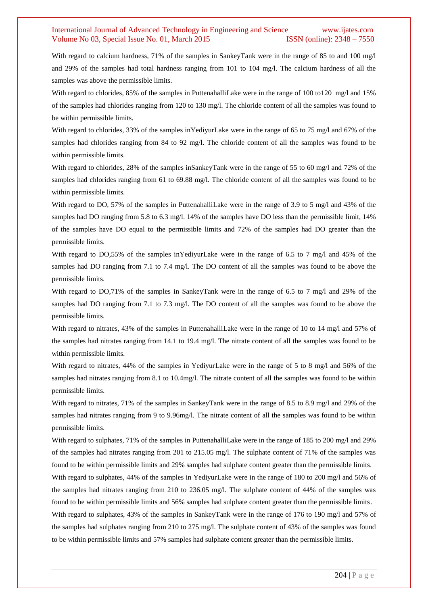With regard to calcium hardness, 71% of the samples in SankeyTank were in the range of 85 to and 100 mg/l and 29% of the samples had total hardness ranging from 101 to 104 mg/l. The calcium hardness of all the samples was above the permissible limits.

With regard to chlorides, 85% of the samples in PuttenahalliLake were in the range of 100 to120 mg/l and 15% of the samples had chlorides ranging from 120 to 130 mg/l. The chloride content of all the samples was found to be within permissible limits.

With regard to chlorides, 33% of the samples in YediyurLake were in the range of 65 to 75 mg/l and 67% of the samples had chlorides ranging from 84 to 92 mg/l. The chloride content of all the samples was found to be within permissible limits.

With regard to chlorides, 28% of the samples inSankeyTank were in the range of 55 to 60 mg/l and 72% of the samples had chlorides ranging from 61 to 69.88 mg/l. The chloride content of all the samples was found to be within permissible limits.

With regard to DO, 57% of the samples in PuttenahalliLake were in the range of 3.9 to 5 mg/l and 43% of the samples had DO ranging from 5.8 to 6.3 mg/l. 14% of the samples have DO less than the permissible limit, 14% of the samples have DO equal to the permissible limits and 72% of the samples had DO greater than the permissible limits.

With regard to DO,55% of the samples inYediyurLake were in the range of 6.5 to 7 mg/l and 45% of the samples had DO ranging from 7.1 to 7.4 mg/l. The DO content of all the samples was found to be above the permissible limits.

With regard to DO,71% of the samples in SankeyTank were in the range of 6.5 to 7 mg/l and 29% of the samples had DO ranging from 7.1 to 7.3 mg/l. The DO content of all the samples was found to be above the permissible limits.

With regard to nitrates, 43% of the samples in PuttenahalliLake were in the range of 10 to 14 mg/l and 57% of the samples had nitrates ranging from 14.1 to 19.4 mg/l. The nitrate content of all the samples was found to be within permissible limits.

With regard to nitrates, 44% of the samples in YediyurLake were in the range of 5 to 8 mg/l and 56% of the samples had nitrates ranging from 8.1 to 10.4mg/l. The nitrate content of all the samples was found to be within permissible limits.

With regard to nitrates, 71% of the samples in SankeyTank were in the range of 8.5 to 8.9 mg/l and 29% of the samples had nitrates ranging from 9 to 9.96mg/l. The nitrate content of all the samples was found to be within permissible limits.

With regard to sulphates, 71% of the samples in PuttenahalliLake were in the range of 185 to 200 mg/l and 29% of the samples had nitrates ranging from 201 to 215.05 mg/l. The sulphate content of 71% of the samples was found to be within permissible limits and 29% samples had sulphate content greater than the permissible limits.

With regard to sulphates, 44% of the samples in YediyurLake were in the range of 180 to 200 mg/l and 56% of the samples had nitrates ranging from 210 to 236.05 mg/l. The sulphate content of 44% of the samples was found to be within permissible limits and 56% samples had sulphate content greater than the permissible limits.

With regard to sulphates, 43% of the samples in SankeyTank were in the range of 176 to 190 mg/l and 57% of the samples had sulphates ranging from 210 to 275 mg/l. The sulphate content of 43% of the samples was found to be within permissible limits and 57% samples had sulphate content greater than the permissible limits.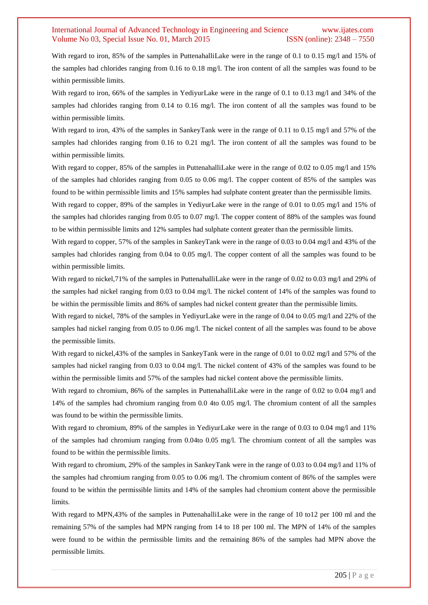With regard to iron, 85% of the samples in PuttenahalliLake were in the range of 0.1 to 0.15 mg/l and 15% of the samples had chlorides ranging from 0.16 to 0.18 mg/l. The iron content of all the samples was found to be within permissible limits.

With regard to iron, 66% of the samples in YediyurLake were in the range of 0.1 to 0.13 mg/l and 34% of the samples had chlorides ranging from 0.14 to 0.16 mg/l. The iron content of all the samples was found to be within permissible limits.

With regard to iron, 43% of the samples in SankeyTank were in the range of 0.11 to 0.15 mg/l and 57% of the samples had chlorides ranging from 0.16 to 0.21 mg/l. The iron content of all the samples was found to be within permissible limits.

With regard to copper, 85% of the samples in PuttenahalliLake were in the range of 0.02 to 0.05 mg/l and 15% of the samples had chlorides ranging from 0.05 to 0.06 mg/l. The copper content of 85% of the samples was found to be within permissible limits and 15% samples had sulphate content greater than the permissible limits.

With regard to copper, 89% of the samples in YediyurLake were in the range of 0.01 to 0.05 mg/l and 15% of the samples had chlorides ranging from 0.05 to 0.07 mg/l. The copper content of 88% of the samples was found to be within permissible limits and 12% samples had sulphate content greater than the permissible limits.

With regard to copper, 57% of the samples in SankeyTank were in the range of 0.03 to 0.04 mg/l and 43% of the samples had chlorides ranging from 0.04 to 0.05 mg/l. The copper content of all the samples was found to be within permissible limits.

With regard to nickel,71% of the samples in PuttenahalliLake were in the range of 0.02 to 0.03 mg/l and 29% of the samples had nickel ranging from 0.03 to 0.04 mg/l. The nickel content of 14% of the samples was found to be within the permissible limits and 86% of samples had nickel content greater than the permissible limits.

With regard to nickel, 78% of the samples in YediyurLake were in the range of 0.04 to 0.05 mg/l and 22% of the samples had nickel ranging from 0.05 to 0.06 mg/l. The nickel content of all the samples was found to be above the permissible limits.

With regard to nickel,43% of the samples in SankeyTank were in the range of 0.01 to 0.02 mg/l and 57% of the samples had nickel ranging from 0.03 to 0.04 mg/l. The nickel content of 43% of the samples was found to be within the permissible limits and 57% of the samples had nickel content above the permissible limits.

With regard to chromium, 86% of the samples in PuttenahalliLake were in the range of 0.02 to 0.04 mg/l and 14% of the samples had chromium ranging from 0.0 4to 0.05 mg/l. The chromium content of all the samples was found to be within the permissible limits.

With regard to chromium, 89% of the samples in YediyurLake were in the range of 0.03 to 0.04 mg/l and 11% of the samples had chromium ranging from 0.04to 0.05 mg/l. The chromium content of all the samples was found to be within the permissible limits.

With regard to chromium, 29% of the samples in SankeyTank were in the range of 0.03 to 0.04 mg/l and 11% of the samples had chromium ranging from 0.05 to 0.06 mg/l. The chromium content of 86% of the samples were found to be within the permissible limits and 14% of the samples had chromium content above the permissible limits.

With regard to MPN,43% of the samples in PuttenahalliLake were in the range of 10 to12 per 100 ml and the remaining 57% of the samples had MPN ranging from 14 to 18 per 100 ml. The MPN of 14% of the samples were found to be within the permissible limits and the remaining 86% of the samples had MPN above the permissible limits.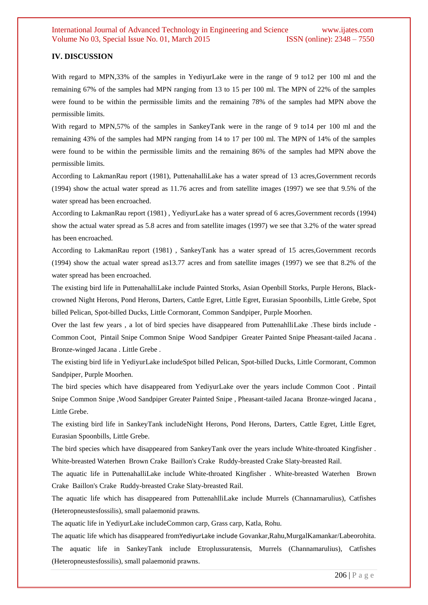## **IV. DISCUSSION**

With regard to MPN,33% of the samples in YediyurLake were in the range of 9 to12 per 100 ml and the remaining 67% of the samples had MPN ranging from 13 to 15 per 100 ml. The MPN of 22% of the samples were found to be within the permissible limits and the remaining 78% of the samples had MPN above the permissible limits.

With regard to MPN,57% of the samples in SankeyTank were in the range of 9 to 14 per 100 ml and the remaining 43% of the samples had MPN ranging from 14 to 17 per 100 ml. The MPN of 14% of the samples were found to be within the permissible limits and the remaining 86% of the samples had MPN above the permissible limits.

According to LakmanRau report (1981), PuttenahalliLake has a water spread of 13 acres,Government records (1994) show the actual water spread as 11.76 acres and from satellite images (1997) we see that 9.5% of the water spread has been encroached.

According to LakmanRau report (1981) , YediyurLake has a water spread of 6 acres,Government records (1994) show the actual water spread as 5.8 acres and from satellite images (1997) we see that 3.2% of the water spread has been encroached.

According to LakmanRau report (1981) , SankeyTank has a water spread of 15 acres,Government records (1994) show the actual water spread as13.77 acres and from satellite images (1997) we see that 8.2% of the water spread has been encroached.

The existing bird life in PuttenahalliLake include Painted Storks, Asian Openbill Storks, Purple Herons, Blackcrowned Night Herons, Pond Herons, Darters, Cattle Egret, Little Egret, Eurasian Spoonbills, Little Grebe, Spot billed Pelican, Spot-billed Ducks, Little Cormorant, Common Sandpiper, Purple Moorhen.

Over the last few years , a lot of bird species have disappeared from PuttenahlliLake .These birds include - Common Coot, Pintail Snipe Common Snipe Wood Sandpiper Greater Painted Snipe Pheasant-tailed Jacana . Bronze-winged Jacana . Little Grebe .

The existing bird life in YediyurLake includeSpot billed Pelican, Spot-billed Ducks, Little Cormorant, Common Sandpiper, Purple Moorhen.

The bird species which have disappeared from YediyurLake over the years include Common Coot . Pintail Snipe Common Snipe , Wood Sandpiper Greater Painted Snipe , Pheasant-tailed Jacana Bronze-winged Jacana , Little Grebe.

The existing bird life in SankeyTank includeNight Herons, Pond Herons, Darters, Cattle Egret, Little Egret, Eurasian Spoonbills, Little Grebe.

The bird species which have disappeared from SankeyTank over the years include White-throated Kingfisher . White-breasted Waterhen Brown Crake Baillon's Crake Ruddy-breasted Crake Slaty-breasted Rail.

The aquatic life in PuttenahalliLake include White-throated Kingfisher . White-breasted Waterhen Brown Crake Baillon's Crake Ruddy-breasted Crake Slaty-breasted Rail.

The aquatic life which has disappeared from PuttenahlliLake include Murrels (Channamarulius), Catfishes (Heteropneustesfossilis), small palaemonid prawns.

The aquatic life in YediyurLake includeCommon carp, Grass carp, Katla, Rohu.

The aquatic life which has disappeared fromYediyurLake include Govankar,Rahu,MurgalKamankar/Labeorohita. The aquatic life in SankeyTank include Etroplussuratensis, Murrels (Channamarulius), Catfishes (Heteropneustesfossilis), small palaemonid prawns.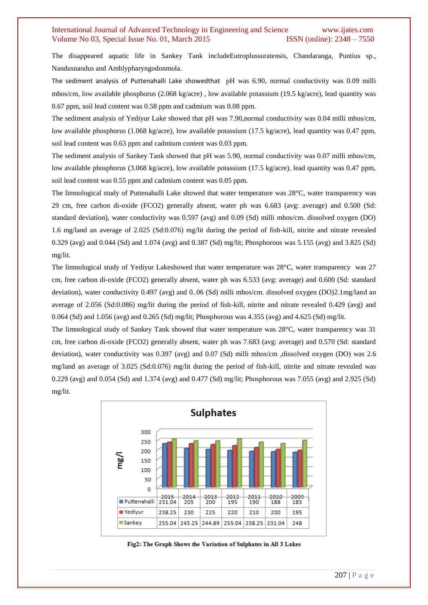The disappeared aquatic life in Sankey Tank includeEutroplussuratensis, Chandaranga, Puntius sp., Nandusnandus and Amblypharyngodonmola.

The sediment analysis of Puttenahalli Lake showedthat pH was 6.90, normal conductivity was 0.09 milli mhos/cm, low available phosphorus (2.068 kg/acre) , low available potassium (19.5 kg/acre), lead quantity was 0.67 ppm, soil lead content was 0.58 ppm and cadmium was 0.08 ppm.

The sediment analysis of Yediyur Lake showed that pH was 7.90,normal conductivity was 0.04 milli mhos/cm, low available phosphorus (1.068 kg/acre), low available potassium (17.5 kg/acre), lead quantity was 0.47 ppm, soil lead content was 0.63 ppm and cadmium content was 0.03 ppm.

The sediment analysis of Sankey Tank showed that pH was 5.90, normal conductivity was 0.07 milli mhos/cm, low available phosphorus (3.068 kg/acre), low available potassium (17.5 kg/acre), lead quantity was 0.47 ppm, soil lead content was 0.55 ppm and cadmium content was 0.05 ppm.

The limnological study of Puttenahalli Lake showed that water temperature was 28°C, water transparency was 29 cm, free carbon di-oxide (FCO2) generally absent, water ph was 6.683 (avg: average) and 0.500 (Sd: standard deviation), water conductivity was 0.597 (avg) and 0.09 (Sd) milli mhos/cm. dissolved oxygen (DO) 1.6 mg/land an average of 2.025 (Sd:0.076) mg/lit during the period of fish-kill, nitrite and nitrate revealed 0.329 (avg) and 0.044 (Sd) and 1.074 (avg) and 0.387 (Sd) mg/lit; Phosphorous was 5.155 (avg) and 3.825 (Sd) mg/lit.

The limnological study of Yediyur Lakeshowed that water temperature was 28°C, water transparency was 27 cm, free carbon di-oxide (FCO2) generally absent, water ph was 6.533 (avg: average) and 0.600 (Sd: standard deviation), water conductivity 0.497 (avg) and 0..06 (Sd) milli mhos/cm. dissolved oxygen (DO)2.1mg/land an average of 2.056 (Sd:0.086) mg/lit during the period of fish-kill, nitrite and nitrate revealed 0.429 (avg) and 0.064 (Sd) and 1.056 (avg) and 0.265 (Sd) mg/lit; Phosphorous was 4.355 (avg) and 4.625 (Sd) mg/lit.

The limnological study of Sankey Tank showed that water temperature was 28°C, water transparency was 31 cm, free carbon di-oxide (FCO2) generally absent, water ph was 7.683 (avg: average) and 0.570 (Sd: standard deviation), water conductivity was 0.397 (avg) and 0.07 (Sd) milli mhos/cm ,dissolved oxygen (DO) was 2.6 mg/land an average of 3.025 (Sd:0.076) mg/lit during the period of fish-kill, nitrite and nitrate revealed was 0.229 (avg) and 0.054 (Sd) and 1.374 (avg) and 0.477 (Sd) mg/lit; Phosphorous was 7.055 (avg) and 2.925 (Sd) mg/lit.



Fig2: The Graph Shows the Variation of Sulphates in All 3 Lakes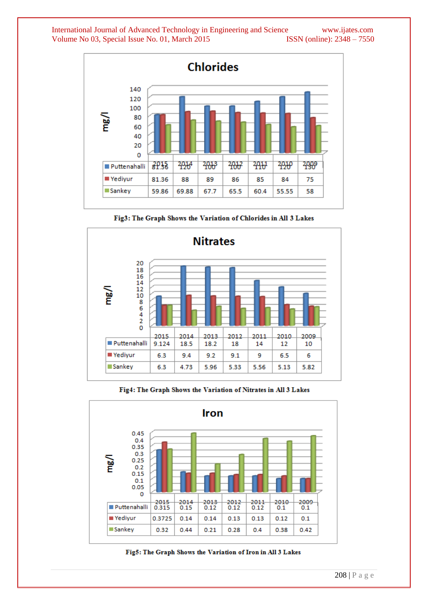

Fig3: The Graph Shows the Variation of Chlorides in All 3 Lakes



Fig4: The Graph Shows the Variation of Nitrates in All 3 Lakes



Fig5: The Graph Shows the Variation of Iron in All 3 Lakes